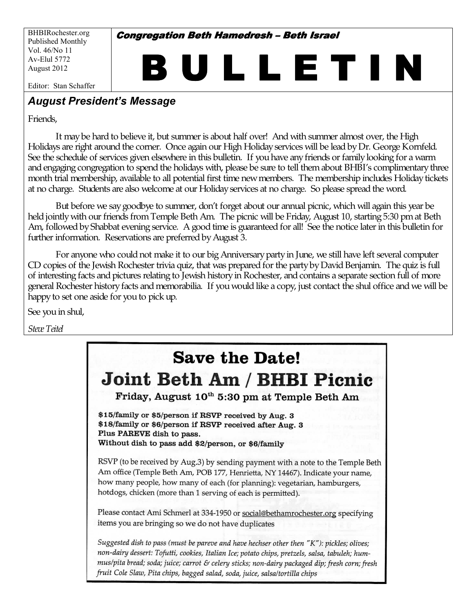BHBIRochester.org Published Monthly Vol. 46/No 11 Av-Elul 5772 August 2012

**Congregation Beth Hamedresh - Beth Israel** 

BULLETIN

Editor: Stan Schaffer

# **August President's Message**

Friends,

It may be hard to believe it, but summer is about half over! And with summer almost over, the High Holidays are right around the corner. Once again our High Holiday services will be lead by Dr. George Kornfeld. See the schedule of services given elsewhere in this bulletin. If you have any friends or family looking for a warm and engaging congregation to spend the holidays with, please be sure to tell them about BHBI's complimentary three month trial membership, available to all potential first time newmembers. The membership includes Holidaytickets at no charge. Students are also welcome at our Holidayservices at no charge. So please spreadthe word.

But before we saygoodbye to summer, don't forget about our annual picnic, which will again this year be held jointly with our friends from Temple Beth Am. The picnic will be Friday, August 10, starting 5:30 pm at Beth Am, followed by Shabbat evening service. A good time is guaranteed for all! See the notice later in this bulletin for further information. Reservations are preferred by August 3.

For anyone who could not make it to our big Anniversary party in June, we still have left several computer CD copies of the Jewish Rochester trivia quiz, that was prepared for the party by David Benjamin. The quiz is full of interesting facts and pictures relating to Jewish history in Rochester, and contains a separate section full of more general Rochester history facts and memorabilia. If you would like a copy, just contact the shul office and we will be happy to set one aside for you to pick up.

See you in shul,

*SteveTeitel*

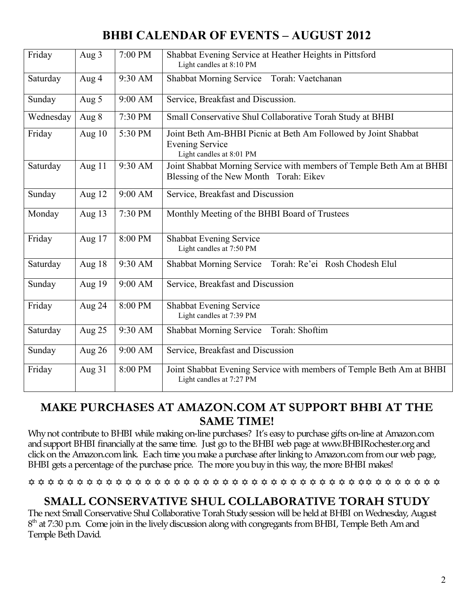# **BHBI CALENDAR OF EVENTS - AUGUST 2012**

| Friday    | Aug 3    | 7:00 PM | Shabbat Evening Service at Heather Heights in Pittsford<br>Light candles at 8:10 PM                                  |  |  |  |
|-----------|----------|---------|----------------------------------------------------------------------------------------------------------------------|--|--|--|
| Saturday  | Aug 4    | 9:30 AM | Shabbat Morning Service Torah: Vaetchanan                                                                            |  |  |  |
| Sunday    | Aug 5    | 9:00 AM | Service, Breakfast and Discussion.                                                                                   |  |  |  |
| Wednesday | Aug 8    | 7:30 PM | Small Conservative Shul Collaborative Torah Study at BHBI                                                            |  |  |  |
| Friday    | Aug $10$ | 5:30 PM | Joint Beth Am-BHBI Picnic at Beth Am Followed by Joint Shabbat<br><b>Evening Service</b><br>Light candles at 8:01 PM |  |  |  |
| Saturday  | Aug 11   | 9:30 AM | Joint Shabbat Morning Service with members of Temple Beth Am at BHBI<br>Blessing of the New Month Torah: Eikev       |  |  |  |
| Sunday    | Aug 12   | 9:00 AM | Service, Breakfast and Discussion                                                                                    |  |  |  |
| Monday    | Aug 13   | 7:30 PM | Monthly Meeting of the BHBI Board of Trustees                                                                        |  |  |  |
| Friday    | Aug 17   | 8:00 PM | <b>Shabbat Evening Service</b><br>Light candles at 7:50 PM                                                           |  |  |  |
| Saturday  | Aug 18   | 9:30 AM | Torah: Re'ei Rosh Chodesh Elul<br><b>Shabbat Morning Service</b>                                                     |  |  |  |
| Sunday    | Aug 19   | 9:00 AM | Service, Breakfast and Discussion                                                                                    |  |  |  |
| Friday    | Aug 24   | 8:00 PM | Shabbat Evening Service<br>Light candles at 7:39 PM                                                                  |  |  |  |
| Saturday  | Aug 25   | 9:30 AM | Shabbat Morning Service Torah: Shoftim                                                                               |  |  |  |
| Sunday    | Aug 26   | 9:00 AM | Service, Breakfast and Discussion                                                                                    |  |  |  |
| Friday    | Aug 31   | 8:00 PM | Joint Shabbat Evening Service with members of Temple Beth Am at BHBI<br>Light candles at 7:27 PM                     |  |  |  |

# **MAKE PURCHASES AT AMAZON.COM AT SUPPORT BHBI AT THE SAME TIME!**

Why not contribute to BHBI while making on-line purchases? It's easy to purchase gifts on-line at Amazon.com and support BHBI financially at the same time. Just go to the BHBI web page at [www.BHBIRochester.org](http://www.bhbirochester.org/) and click on the Amazon.com link. Each time you make a purchase after linking to Amazon.com from our web page, BHBI gets a percentage of the purchase price. The more you buy in this way, the more BHBI makes!

#### 

# **SMALL CONSERVATIVE SHUL COLLABORATIVE TORAH STUDY**

The next Small Conservative Shul Collaborative Torah Studysession will be heldat BHBI on Wednesday, August  $8<sup>th</sup>$  at 7:30 p.m. Come join in the lively discussion along with congregants from BHBI, Temple Beth Am and Temple Beth David.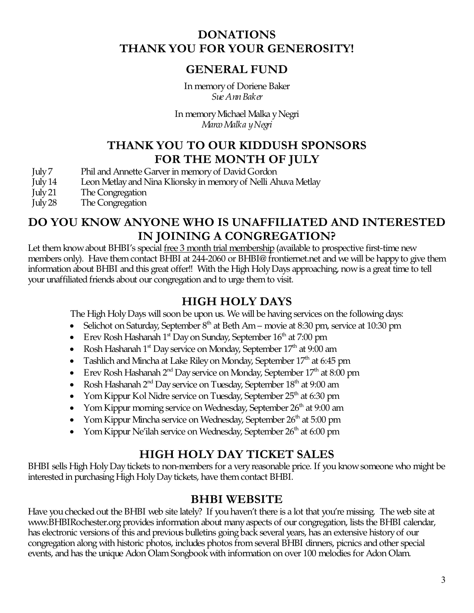# **DONATIONS THANK YOU FOR YOUR GENEROSITY!**

# **GENERAL FUND**

In memoryof Doriene Baker *Sue AnnBaker*

In memoryMichael Malka yNegri *MarcoMalka yNegri*

# **THANK YOU TO OUR KIDDUSH SPONSORS FOR THE MONTH OF JULY**

- July 7 Phil and Annette Garver in memory of David Gordon
- July14 Leon Metlayand Nina Klionskyin memoryof Nelli Ahuva Metlay
- July21 The Congregation
- July28 The Congregation

# **DO YOU KNOW ANYONE WHO IS UNAFFILIATED AND INTERESTED IN JOINING A CONGREGATION?**

Let them know about BHBI's special free 3 month trial membership (available to prospective first-time new members only). Have them contact BHBI at 244-2060 or [BHBI@ frontiernet.net](mailto:BHBI@frontiernet.net) and we will be happy to give them information about BHBI and this great offer!! With the High Holy Days approaching, now is a great time to tell your unaffiliated friends about our congregation and to urge them to visit.

# **HIGH HOLY DAYS**

The High Holy Days will soon be upon us. We will be having services on the following days:

- Selichot on Saturday, September  $8<sup>th</sup>$  at Beth Am movie at 8:30 pm, service at 10:30 pm
- Erev Rosh Hashanah 1st Day on Sunday, September  $16<sup>th</sup>$  at 7:00 pm
- Rosh Hashanah  $1<sup>st</sup>$  Day service on Monday, September  $17<sup>th</sup>$  at 9:00 am
- Tashlich and Mincha at Lake Riley on Monday, September  $17<sup>th</sup>$  at 6:45 pm
- Erev Rosh Hashanah 2<sup>nd</sup> Day service on Monday, September  $17<sup>th</sup>$  at 8:00 pm
- Rosh Hashanah  $2^{nd}$  Day service on Tuesday, September  $18^{th}$  at 9:00 am
- Yom Kippur Kol Nidre service on Tuesday, September  $25<sup>th</sup>$  at 6:30 pm
- Yom Kippur morning service on Wednesday, September  $26<sup>th</sup>$  at 9:00 am
- Yom Kippur Mincha service on Wednesday, September  $26<sup>th</sup>$  at 5:00 pm
- Yom Kippur Ne'ilah service on Wednesday, September  $26<sup>th</sup>$  at 6:00 pm

# **HIGH HOLY DAY TICKET SALES**

BHBI sells High Holy Day tickets to non-members for a very reasonable price. If you know someone who might be interested in purchasing High Holy Day tickets, have them contact BHBI.

# **BHBI WEBSITE**

Have you checked out the BHBI web site lately? If you haven't there is a lot that you're missing. The web site at [www.BHBIRochester.org](http://www.bhbirochester.org/) provides information about many aspects of our congregation, lists the BHBI calendar, has electronic versions of this and previous bulletins going back several years, has an extensive history of our congregation along with historic photos, includes photos fromseveral BHBI dinners, picnics andother special events, and has the unique Adon Olam Songbook with information on over 100 melodies for Adon Olam.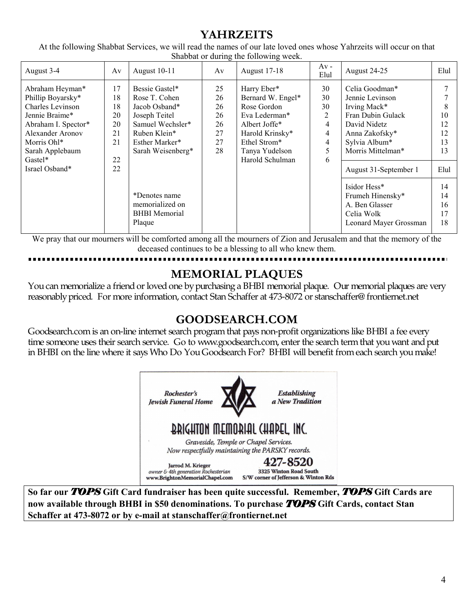# **YAHRZEITS**

At the following Shabbat Services, we will read the names of our late loved ones whose Yahrzeits will occur on that Shabbat or during the following week.

| August 3-4                                                                                                                                                     | Av                                     | August 10-11                                                                                                                                 | Av                                           | August 17-18                                                                                                                           | $Av -$<br>Elul                                                                              | August 24-25                                                                                                                                   | Elul                       |
|----------------------------------------------------------------------------------------------------------------------------------------------------------------|----------------------------------------|----------------------------------------------------------------------------------------------------------------------------------------------|----------------------------------------------|----------------------------------------------------------------------------------------------------------------------------------------|---------------------------------------------------------------------------------------------|------------------------------------------------------------------------------------------------------------------------------------------------|----------------------------|
| Abraham Heyman*<br>Phillip Boyarsky*<br><b>Charles Levinson</b><br>Jennie Braime*<br>Abraham I. Spector*<br>Alexander Aronov<br>Morris Ohl*<br>Sarah Applebaum | 17<br>18<br>18<br>20<br>20<br>21<br>21 | Bessie Gastel*<br>Rose T. Cohen<br>Jacob Osband*<br>Joseph Teitel<br>Samuel Wechsler*<br>Ruben Klein*<br>Esther Marker*<br>Sarah Weisenberg* | 25<br>26<br>26<br>26<br>26<br>27<br>27<br>28 | Harry Eber*<br>Bernard W. Engel*<br>Rose Gordon<br>Eva Lederman*<br>Albert Joffe*<br>Harold Krinsky*<br>Ethel Strom*<br>Tanya Yudelson | 30<br>30<br>30<br>$\overline{2}$<br>$\overline{4}$<br>$\overline{4}$<br>$\overline{4}$<br>5 | Celia Goodman*<br>Jennie Levinson<br>Irving Mack*<br>Fran Dubin Gulack<br>David Nidetz<br>Anna Zakofsky*<br>Sylvia Album*<br>Morris Mittelman* | 10<br>12<br>12<br>13<br>13 |
| Gastel*<br>Israel Osband*                                                                                                                                      | 22<br>22                               |                                                                                                                                              |                                              | Harold Schulman                                                                                                                        | 6                                                                                           | August 31-September 1                                                                                                                          | Elul                       |
|                                                                                                                                                                |                                        | *Denotes name<br>memorialized on<br><b>BHBI</b> Memorial<br>Plaque                                                                           |                                              |                                                                                                                                        |                                                                                             | Isidor Hess*<br>Frumeh Hinensky*<br>A. Ben Glasser<br>Celia Wolk<br>Leonard Mayer Grossman                                                     | 14<br>14<br>16<br>17<br>18 |

We pray that our mourners will be comforted among all the mourners of Zion and Jerusalem and that the memory of the deceased continues to be a blessing to all who knew them.

# **MEMORIAL PLAQUES**

You can memorialize a friend or loved one by purchasing a BHBI memorial plaque. Our memorial plaques are very reasonablypriced. For more information, contact Stan Schaffer at 473-8072 or [stanschaffer@ frontiernet.net](mailto:stanschaffer@frontiernet.net)

# **GOODSEARCH.COM**

Goodsearch.com is an on-line internet search program that pays non-profit organizations like BHBI a fee every time someone uses their search service. Go to [www.goodsearch.com,](http://www.goodsearch.com/) enter the search term that you want and put in BHBI on the line where it says Who Do YouGoodsearch For? BHBI will benefit fromeach search youmake!



So far our TOPS Gift Card fundraiser has been quite successful. Remember, TOPS Gift Cards are now available through BHBI in \$50 denominations. To purchase TOPS Gift Cards, contact Stan Schaffer at 473-8072 or by e-mail at stanschaffer@frontiernet.net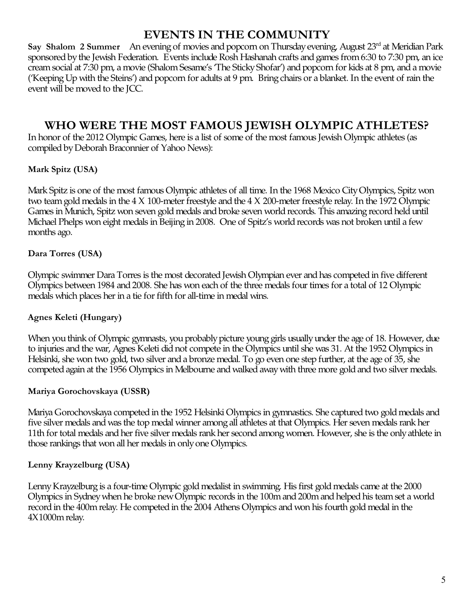# **EVENTS IN THE COMMUNITY**

Say Shalom 2 Summer An evening of movies and popcorn on Thursday evening, August 23<sup>rd</sup> at Meridian Park sponsored by the Jewish Federation. Events include Rosh Hashanah crafts and games from 6:30 to 7:30 pm, an ice cream social at 7:30 pm, a movie (Shalom Sesame's 'The Sticky Shofar') and popcorn for kids at 8 pm, and a movie ('Keeping Up with the Steins') and popcorn for adults at 9 pm. Bring chairs or a blanket. In the event of rain the event will be moved to the JCC.

# **WHO WERE THE MOST FAMOUS JEWISH OLYMPIC ATHLETES?**

In honor of the 2012 Olympic Games, here is a list of some of the most famous Jewish Olympic athletes (as compiled by Deborah Braconnier of Yahoo News):

### **Mark Spitz (USA)**

[Mark](http://www.markspitzusa.com/biography.html) Spitz is one of the most famous Olympic athletes of all time. In the 1968 Mexico CityOlympics, Spitz won two team gold medals in the  $4 \times 100$ -meter freestyle and the  $4 \times 200$ -meter freestyle relay. In the 1972 Olympic Games in Munich, Spitz won seven gold medals and broke seven world records. This amazing record held until Michael Phelps won eight medals in Beijing in 2008. One of Spitz's world records was not broken until a few months ago.

### **Dara Torres (USA)**

Olympic swimmer Dara [Torres](http://daratorres.com/biography.php) is the most decorated Jewish Olympian ever and has competed in five different Olympics between 1984 and 2008. She has won each of the three medals four times for a total of 12 Olympic medals which places her in a tie for fifth for all-time in medal wins.

### **Agnes Keleti (Hungary)**

When you think of Olympic gymnasts, you probably picture young girls usually under the age of 18. However, due to injuries andthe war, [Agnes](http://www.jewishsports.net/BioPages/AgnesKeleti%28Klein%29.htm) Keleti didnot compete in the Olympics until she was 31. At the 1952 Olympics in Helsinki, she won two gold, two silver anda bronze medal. To go even one step further, at the age of 35, she competed again at the 1956 Olympics in Melbourne and walked away with three more gold and two silver medals.

### **Mariya Gorochovskaya (USSR)**

Mariya [Gorochovskaya](http://www.jewishsports.net/BioPages/MariaGorokhovskaya.htm) competed in the 1952 Helsinki Olympics in gymnastics. She captured two gold medals and five silver medals and was the top medal winner among all athletes at that Olympics. Her seven medals rank her 11th for total medals and her five silver medals rank her second among women. However, she is the only athlete in those rankings that won all her medals in onlyone Olympics.

### **Lenny Krayzelburg (USA)**

[LennyKrayzelburg](http://www.jewishsports.net/BioPages/LennyKrayzelburg.htm) is a four-time Olympic goldmedalist in swimming. His first goldmedals came at the 2000 Olympics in Sydney when he broke new Olympic records in the 100m and 200m and helped his team set a world record in the 400m relay. He competed in the 2004 Athens Olympics and won his fourth gold medal in the 4X1000mrelay.